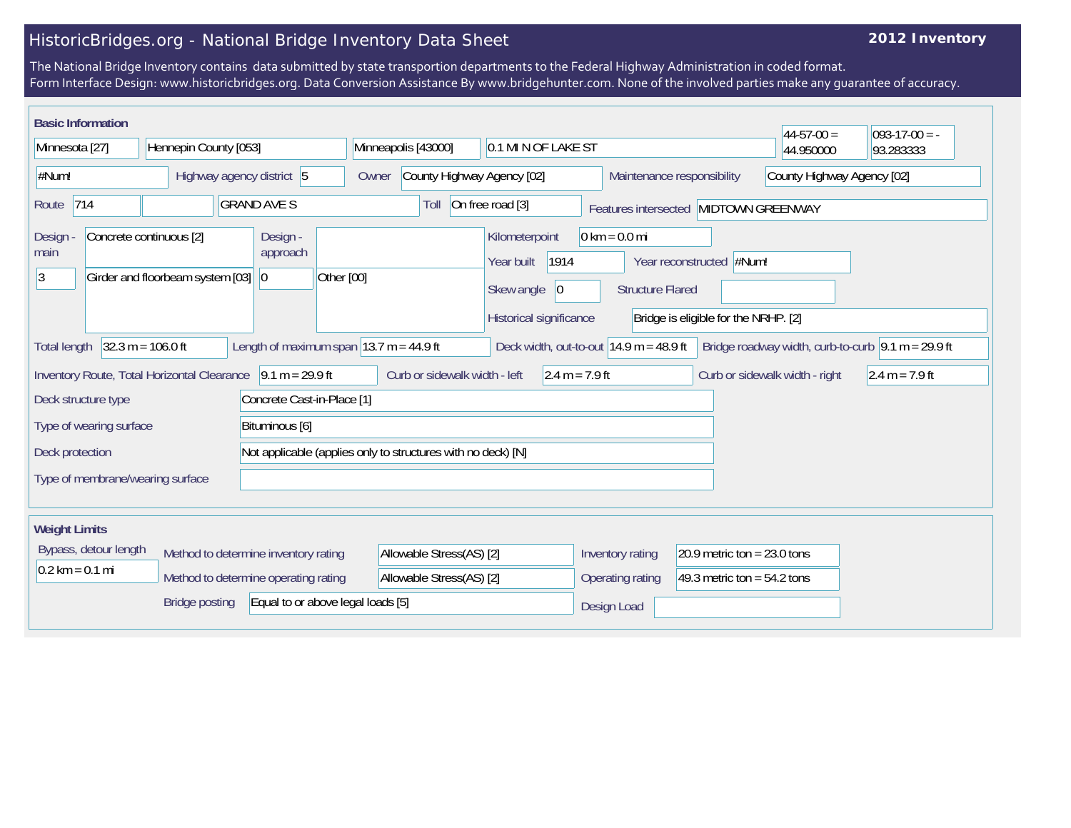## HistoricBridges.org - National Bridge Inventory Data Sheet

## **2012 Inventory**

The National Bridge Inventory contains data submitted by state transportion departments to the Federal Highway Administration in coded format. Form Interface Design: www.historicbridges.org. Data Conversion Assistance By www.bridgehunter.com. None of the involved parties make any guarantee of accuracy.

| <b>Basic Information</b><br>$44 - 57 - 00 =$<br>$ 093-17-00 = -$                                                                                                                                                      |  |                           |                                     |                                                                   |                                                   |                                                                                      |                                                                                                                                        |                  |                                                          |                               |           |           |
|-----------------------------------------------------------------------------------------------------------------------------------------------------------------------------------------------------------------------|--|---------------------------|-------------------------------------|-------------------------------------------------------------------|---------------------------------------------------|--------------------------------------------------------------------------------------|----------------------------------------------------------------------------------------------------------------------------------------|------------------|----------------------------------------------------------|-------------------------------|-----------|-----------|
| Minnesota [27]                                                                                                                                                                                                        |  | Hennepin County [053]     |                                     |                                                                   |                                                   | Minneapolis [43000]<br>0.1 MI N OF LAKE ST                                           |                                                                                                                                        |                  |                                                          |                               | 44.950000 | 93.283333 |
| #Num!                                                                                                                                                                                                                 |  | Highway agency district 5 |                                     |                                                                   | Owner                                             | County Highway Agency [02]                                                           |                                                                                                                                        |                  | County Highway Agency [02]<br>Maintenance responsibility |                               |           |           |
| 714<br><b>GRAND AVE S</b><br>Route                                                                                                                                                                                    |  |                           |                                     | On free road [3]<br>Toll<br>Features intersected MIDTOWN GREENWAY |                                                   |                                                                                      |                                                                                                                                        |                  |                                                          |                               |           |           |
| Concrete continuous [2]<br>Design<br>main<br>Girder and floorbeam system [03]<br>3                                                                                                                                    |  |                           | Design -<br>approach<br>$ 0\rangle$ | Other [00]                                                        |                                                   | Kilometerpoint<br>Year built<br>Skew angle<br>$ 0\rangle$<br>Historical significance | $0 \text{ km} = 0.0 \text{ mi}$<br>1914<br>Year reconstructed #Num!<br><b>Structure Flared</b><br>Bridge is eligible for the NRHP. [2] |                  |                                                          |                               |           |           |
| $32.3 m = 106.0 ft$<br>Length of maximum span $ 13.7 \text{ m} = 44.9 \text{ ft} $<br>Deck width, out-to-out $14.9$ m = 48.9 ft<br>Bridge roadway width, curb-to-curb $\sqrt{9.1}$ m = 29.9 ft<br><b>Total length</b> |  |                           |                                     |                                                                   |                                                   |                                                                                      |                                                                                                                                        |                  |                                                          |                               |           |           |
| $9.1 m = 29.9 ft$<br>Inventory Route, Total Horizontal Clearance                                                                                                                                                      |  |                           |                                     |                                                                   | Curb or sidewalk width - left<br>$2.4 m = 7.9 ft$ |                                                                                      |                                                                                                                                        |                  | Curb or sidewalk width - right                           | $2.4 m = 7.9 ft$              |           |           |
| Concrete Cast-in-Place [1]<br>Deck structure type                                                                                                                                                                     |  |                           |                                     |                                                                   |                                                   |                                                                                      |                                                                                                                                        |                  |                                                          |                               |           |           |
| Type of wearing surface<br>Bituminous [6]                                                                                                                                                                             |  |                           |                                     |                                                                   |                                                   |                                                                                      |                                                                                                                                        |                  |                                                          |                               |           |           |
| Deck protection                                                                                                                                                                                                       |  |                           |                                     | Not applicable (applies only to structures with no deck) [N]      |                                                   |                                                                                      |                                                                                                                                        |                  |                                                          |                               |           |           |
| Type of membrane/wearing surface                                                                                                                                                                                      |  |                           |                                     |                                                                   |                                                   |                                                                                      |                                                                                                                                        |                  |                                                          |                               |           |           |
|                                                                                                                                                                                                                       |  |                           |                                     |                                                                   |                                                   |                                                                                      |                                                                                                                                        |                  |                                                          |                               |           |           |
| <b>Weight Limits</b>                                                                                                                                                                                                  |  |                           |                                     |                                                                   |                                                   |                                                                                      |                                                                                                                                        |                  |                                                          |                               |           |           |
| Bypass, detour length                                                                                                                                                                                                 |  |                           |                                     | Method to determine inventory rating                              |                                                   | Allowable Stress(AS) [2]                                                             |                                                                                                                                        | Inventory rating |                                                          | 20.9 metric ton = $23.0$ tons |           |           |
| $0.2$ km = 0.1 mi                                                                                                                                                                                                     |  |                           |                                     | Method to determine operating rating                              |                                                   | Allowable Stress(AS) [2]                                                             |                                                                                                                                        | Operating rating |                                                          | 49.3 metric ton = $54.2$ tons |           |           |
| Equal to or above legal loads [5]<br><b>Bridge posting</b>                                                                                                                                                            |  |                           |                                     |                                                                   |                                                   | Design Load                                                                          |                                                                                                                                        |                  |                                                          |                               |           |           |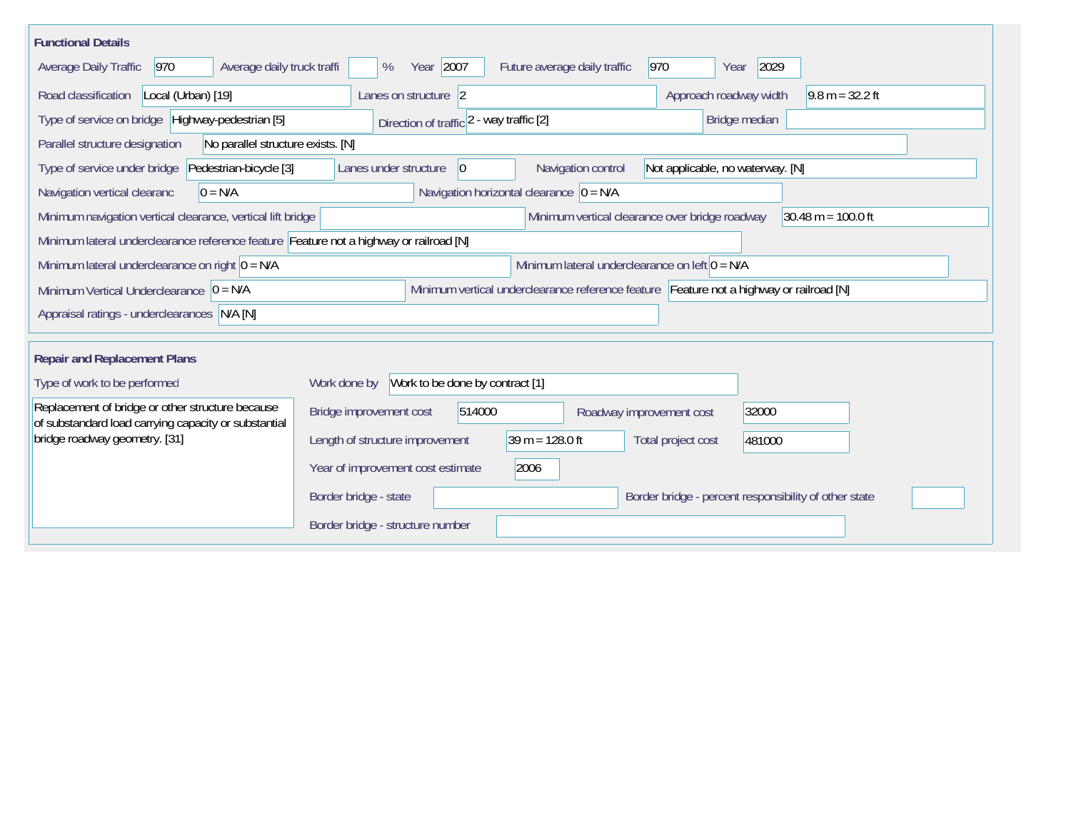| <b>Functional Details</b>                                                                                |                                                                                                |
|----------------------------------------------------------------------------------------------------------|------------------------------------------------------------------------------------------------|
| 970<br>Average daily truck traffi<br>Average Daily Traffic                                               | Year 2007<br>970<br>2029<br>Future average daily traffic<br>%<br>Year                          |
| Road classification<br>Local (Urban) [19]                                                                | Approach roadway width<br>$9.8 m = 32.2 ft$<br>Lanes on structure 2                            |
| Type of service on bridge   Highway-pedestrian [5]                                                       | Direction of traffic 2 - way traffic [2]<br>Bridge median                                      |
| Parallel structure designation<br>No parallel structure exists. [N]                                      |                                                                                                |
| Pedestrian-bicycle [3]<br>Type of service under bridge                                                   | Navigation control<br>Lanes under structure<br>Not applicable, no waterway. [N]<br>$ 0\rangle$ |
| Navigation vertical clearanc<br>$0 = N/A$                                                                | Navigation horizontal clearance $ 0 = N/A $                                                    |
| Minimum navigation vertical clearance, vertical lift bridge                                              | Minimum vertical clearance over bridge roadway<br>$30.48 \text{ m} = 100.0 \text{ ft}$         |
| Minimum lateral underclearance reference feature Feature not a highway or railroad [N]                   |                                                                                                |
| Minimum lateral underclearance on right $0 = N/A$                                                        | Minimum lateral underclearance on left $0 = N/A$                                               |
| Minimum Vertical Underclearance $ 0 = N/A$                                                               | Minimum vertical underclearance reference feature Feature not a highway or railroad [N]        |
| Appraisal ratings - underclearances N/A [N]                                                              |                                                                                                |
|                                                                                                          |                                                                                                |
| <b>Repair and Replacement Plans</b>                                                                      |                                                                                                |
| Type of work to be performed                                                                             | Work to be done by contract [1]<br>Work done by                                                |
| Replacement of bridge or other structure because<br>of substandard load carrying capacity or substantial | 514000<br>32000<br>Bridge improvement cost<br>Roadway improvement cost                         |
| bridge roadway geometry. [31]                                                                            | $39 m = 128.0 ft$<br>Length of structure improvement<br>Total project cost<br>481000           |
|                                                                                                          | Year of improvement cost estimate<br>2006                                                      |
|                                                                                                          | Border bridge - percent responsibility of other state<br>Border bridge - state                 |
|                                                                                                          | Border bridge - structure number                                                               |